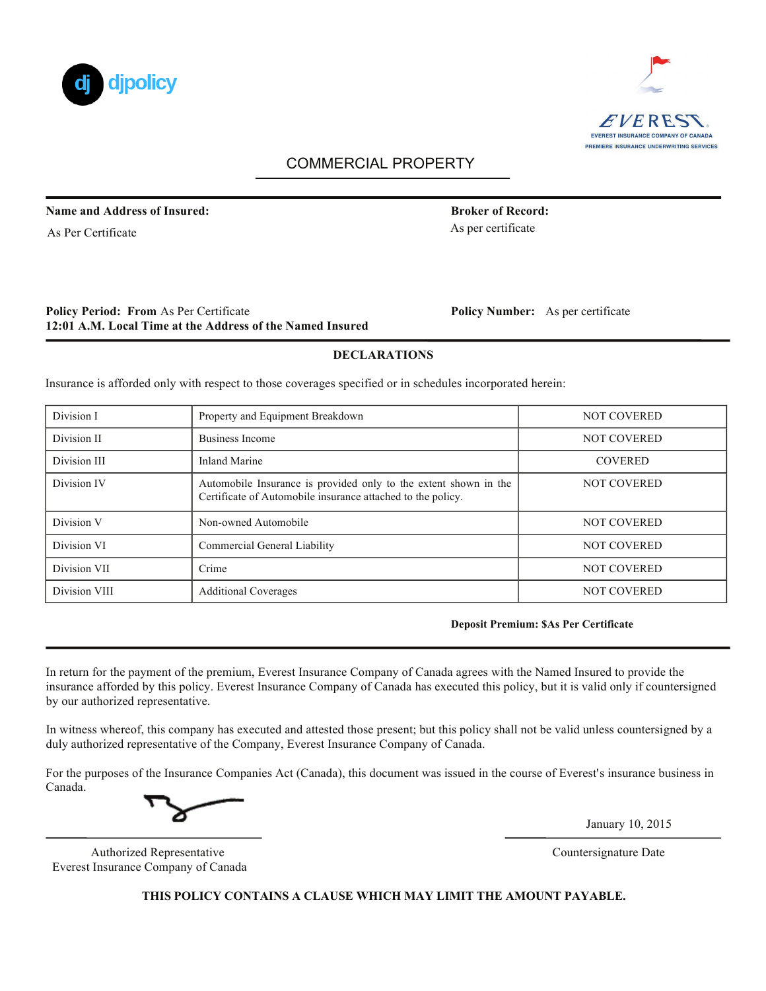



# COMMERCIAL PROPERTY

**Name and Address of Insured: Broker of Record: Broker of Record:** 

As Per Certificate

## **Policy Period: From As Per Certificate 12:01 A.M. Local Time at the Address of the Named Insured**

Policy Number: As per certificate

As per certificate

### **DECLARATIONS**

Insurance is afforded only with respect to those coverages specified or in schedules incorporated herein:

| Division I    | Property and Equipment Breakdown                                                                                                | <b>NOT COVERED</b> |
|---------------|---------------------------------------------------------------------------------------------------------------------------------|--------------------|
| Division II   | Business Income                                                                                                                 | <b>NOT COVERED</b> |
| Division III  | Inland Marine                                                                                                                   | <b>COVERED</b>     |
| Division IV   | Automobile Insurance is provided only to the extent shown in the<br>Certificate of Automobile insurance attached to the policy. | <b>NOT COVERED</b> |
| Division V    | Non-owned Automobile                                                                                                            | <b>NOT COVERED</b> |
| Division VI   | Commercial General Liability                                                                                                    | <b>NOT COVERED</b> |
| Division VII  | Crime                                                                                                                           | <b>NOT COVERED</b> |
| Division VIII | <b>Additional Coverages</b>                                                                                                     | <b>NOT COVERED</b> |

#### **Deposit Premium: \$As Per Certificate**

In return for the payment of the premium, Everest Insurance Company of Canada agrees with the Named Insured to provide the insurance afforded by this policy. Everest Insurance Company of Canada has executed this policy, but it is valid only if countersigned by our authorized representative.

In witness whereof, this company has executed and attested those present; but this policy shall not be valid unless countersigned by a duly authorized representative of the Company, Everest Insurance Company of Canada.

For the purposes of the Insurance Companies Act (Canada), this document was issued in the course of Everest's insurance business in Canada.

January 10, 2015

Authorized Representative Countersignature Date Everest Insurance Company of Canada

**THIS POLICY CONTAINS A CLAUSE WHICH MAY LIMIT THE AMOUNT PAYABLE.**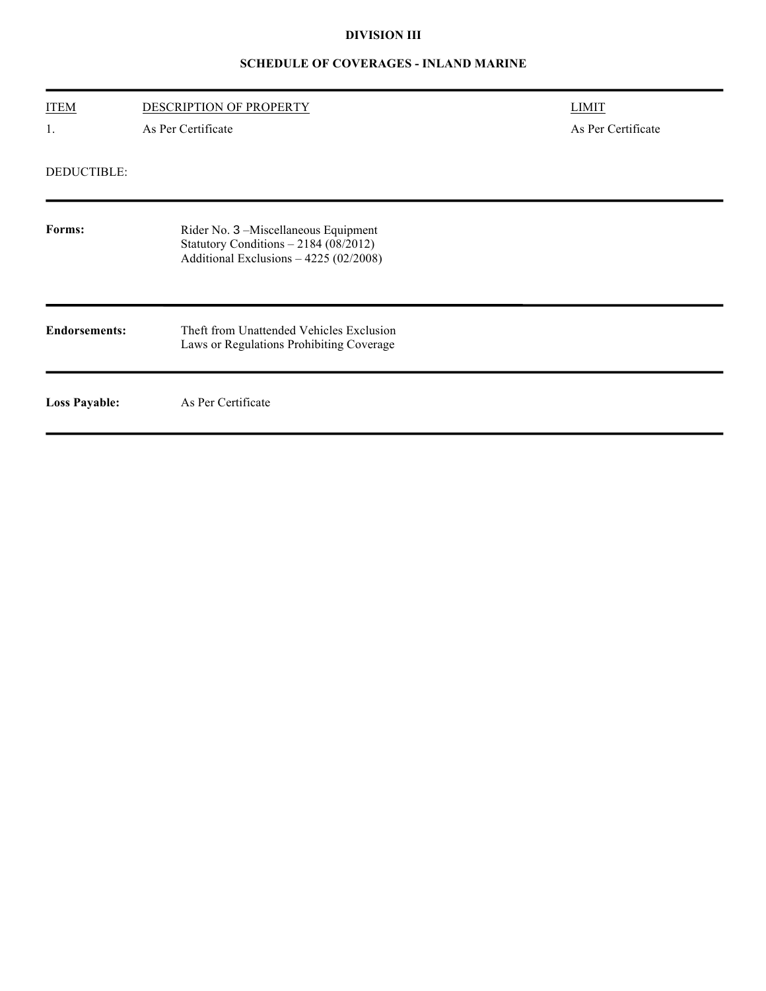# **DIVISION III**

# **SCHEDULE OF COVERAGES - INLAND MARINE**

| <b>ITEM</b>          | DESCRIPTION OF PROPERTY                                                                                                 | <b>LIMIT</b>       |
|----------------------|-------------------------------------------------------------------------------------------------------------------------|--------------------|
| 1.                   | As Per Certificate                                                                                                      | As Per Certificate |
| DEDUCTIBLE:          |                                                                                                                         |                    |
| Forms:               | Rider No. 3 -Miscellaneous Equipment<br>Statutory Conditions - 2184 (08/2012)<br>Additional Exclusions - 4225 (02/2008) |                    |
| <b>Endorsements:</b> | Theft from Unattended Vehicles Exclusion<br>Laws or Regulations Prohibiting Coverage                                    |                    |
| <b>Loss Payable:</b> | As Per Certificate                                                                                                      |                    |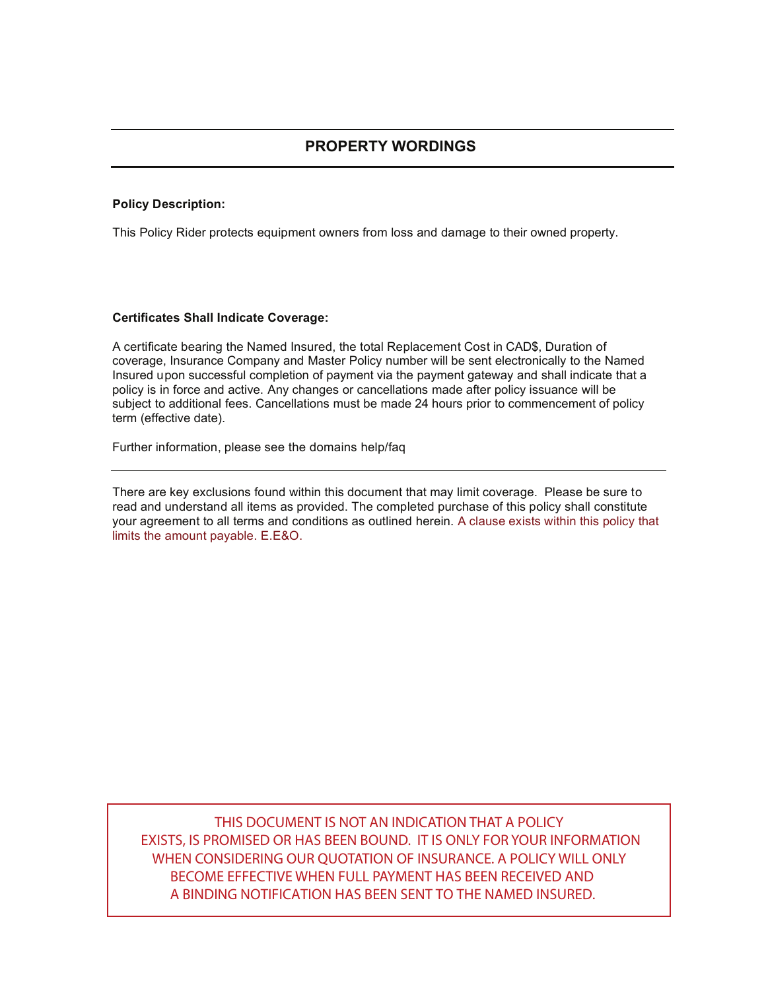# **Policy Description:**

This Policy Rider protects equipment owners from loss and damage to their owned property.

#### **Certificates Shall Indicate Coverage:**

A certificate bearing the Named Insured, the total Replacement Cost in CAD\$, Duration of coverage, Insurance Company and Master Policy number will be sent electronically to the Named Insured upon successful completion of payment via the payment gateway and shall indicate that a policy is in force and active. Any changes or cancellations made after policy issuance will be subject to additional fees. Cancellations must be made 24 hours prior to commencement of policy term (effective date).

Further information, please see the domains help/faq

There are key exclusions found within this document that may limit coverage. Please be sure to read and understand all items as provided. The completed purchase of this policy shall constitute your agreement to all terms and conditions as outlined herein. A clause exists within this policy that limits the amount payable. E.E&O.

THIS DOCUMENT IS NOT AN INDICATION THAT A POLICY EXISTS, IS PROMISED OR HAS BEEN BOUND. IT IS ONLY FOR YOUR INFORMATION WHEN CONSIDERING OUR QUOTATION OF INSURANCE. A POLICY WILL ONLY BECOME EFFECTIVE WHEN FULL PAYMENT HAS BEEN RECEIVED AND A BINDING NOTIFICATION HAS BEEN SENT TO THE NAMED INSURED.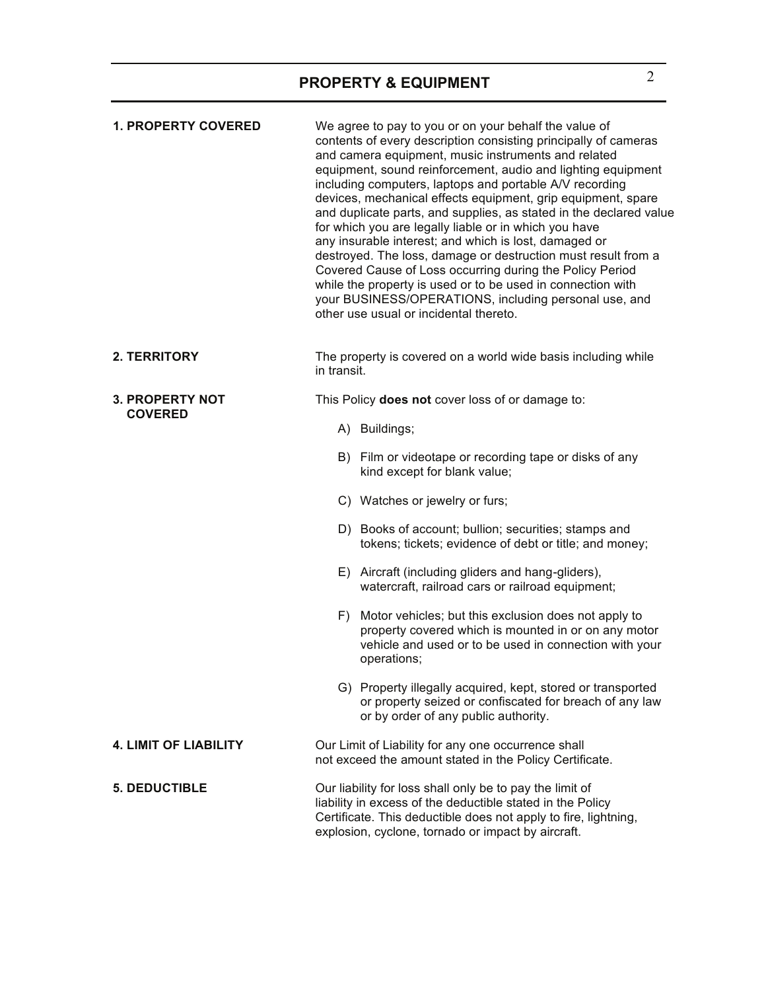| <b>1. PROPERTY COVERED</b>   | We agree to pay to you or on your behalf the value of<br>contents of every description consisting principally of cameras<br>and camera equipment, music instruments and related<br>equipment, sound reinforcement, audio and lighting equipment<br>including computers, laptops and portable A/V recording<br>devices, mechanical effects equipment, grip equipment, spare<br>and duplicate parts, and supplies, as stated in the declared value<br>for which you are legally liable or in which you have<br>any insurable interest; and which is lost, damaged or<br>destroyed. The loss, damage or destruction must result from a<br>Covered Cause of Loss occurring during the Policy Period<br>while the property is used or to be used in connection with<br>your BUSINESS/OPERATIONS, including personal use, and<br>other use usual or incidental thereto. |
|------------------------------|-------------------------------------------------------------------------------------------------------------------------------------------------------------------------------------------------------------------------------------------------------------------------------------------------------------------------------------------------------------------------------------------------------------------------------------------------------------------------------------------------------------------------------------------------------------------------------------------------------------------------------------------------------------------------------------------------------------------------------------------------------------------------------------------------------------------------------------------------------------------|
| 2. TERRITORY                 | The property is covered on a world wide basis including while<br>in transit.                                                                                                                                                                                                                                                                                                                                                                                                                                                                                                                                                                                                                                                                                                                                                                                      |
| <b>3. PROPERTY NOT</b>       | This Policy does not cover loss of or damage to:                                                                                                                                                                                                                                                                                                                                                                                                                                                                                                                                                                                                                                                                                                                                                                                                                  |
| <b>COVERED</b>               | A) Buildings;                                                                                                                                                                                                                                                                                                                                                                                                                                                                                                                                                                                                                                                                                                                                                                                                                                                     |
|                              | B) Film or videotape or recording tape or disks of any<br>kind except for blank value;                                                                                                                                                                                                                                                                                                                                                                                                                                                                                                                                                                                                                                                                                                                                                                            |
|                              | C) Watches or jewelry or furs;                                                                                                                                                                                                                                                                                                                                                                                                                                                                                                                                                                                                                                                                                                                                                                                                                                    |
|                              | D) Books of account; bullion; securities; stamps and<br>tokens; tickets; evidence of debt or title; and money;                                                                                                                                                                                                                                                                                                                                                                                                                                                                                                                                                                                                                                                                                                                                                    |
|                              | E) Aircraft (including gliders and hang-gliders),<br>watercraft, railroad cars or railroad equipment;                                                                                                                                                                                                                                                                                                                                                                                                                                                                                                                                                                                                                                                                                                                                                             |
|                              | F) Motor vehicles; but this exclusion does not apply to<br>property covered which is mounted in or on any motor<br>vehicle and used or to be used in connection with your<br>operations;                                                                                                                                                                                                                                                                                                                                                                                                                                                                                                                                                                                                                                                                          |
|                              | G) Property illegally acquired, kept, stored or transported<br>or property seized or confiscated for breach of any law<br>or by order of any public authority.                                                                                                                                                                                                                                                                                                                                                                                                                                                                                                                                                                                                                                                                                                    |
| <b>4. LIMIT OF LIABILITY</b> | Our Limit of Liability for any one occurrence shall<br>not exceed the amount stated in the Policy Certificate.                                                                                                                                                                                                                                                                                                                                                                                                                                                                                                                                                                                                                                                                                                                                                    |
| <b>5. DEDUCTIBLE</b>         | Our liability for loss shall only be to pay the limit of<br>liability in excess of the deductible stated in the Policy<br>Certificate. This deductible does not apply to fire, lightning,<br>explosion, cyclone, tornado or impact by aircraft.                                                                                                                                                                                                                                                                                                                                                                                                                                                                                                                                                                                                                   |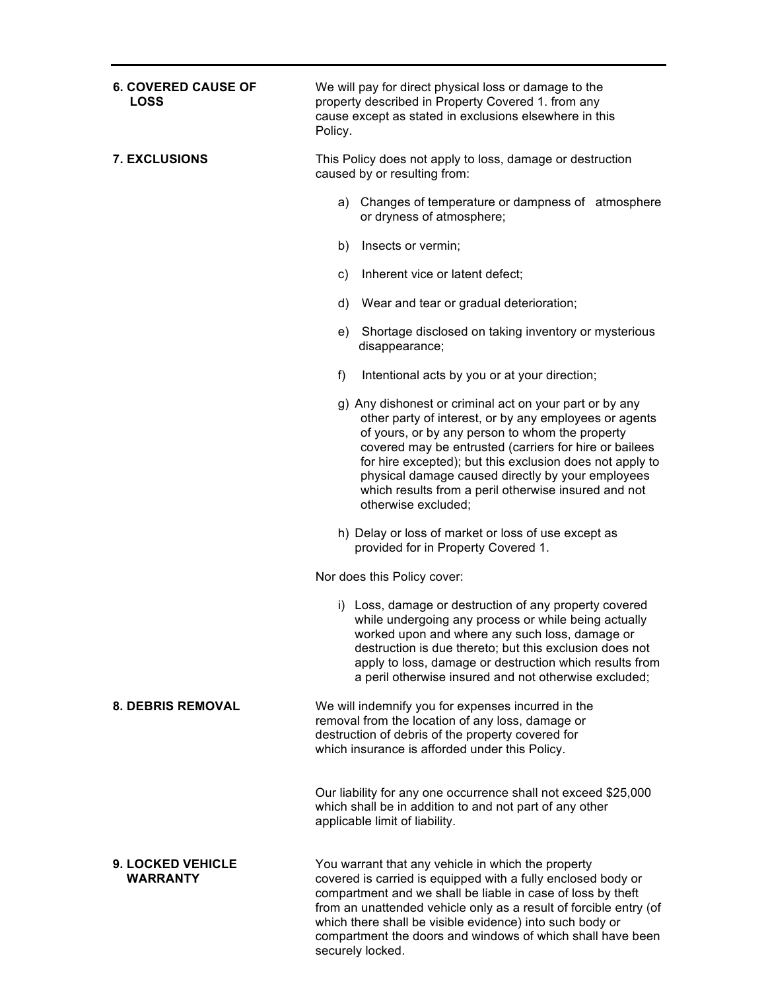| <b>6. COVERED CAUSE OF</b><br><b>LOSS</b> | We will pay for direct physical loss or damage to the<br>property described in Property Covered 1. from any<br>cause except as stated in exclusions elsewhere in this<br>Policy.                                                                                                                                                                                                                                               |
|-------------------------------------------|--------------------------------------------------------------------------------------------------------------------------------------------------------------------------------------------------------------------------------------------------------------------------------------------------------------------------------------------------------------------------------------------------------------------------------|
| <b>7. EXCLUSIONS</b>                      | This Policy does not apply to loss, damage or destruction<br>caused by or resulting from:                                                                                                                                                                                                                                                                                                                                      |
|                                           | Changes of temperature or dampness of atmosphere<br>a)<br>or dryness of atmosphere;                                                                                                                                                                                                                                                                                                                                            |
|                                           | b)<br>Insects or vermin;                                                                                                                                                                                                                                                                                                                                                                                                       |
|                                           | Inherent vice or latent defect;<br>C)                                                                                                                                                                                                                                                                                                                                                                                          |
|                                           | Wear and tear or gradual deterioration;<br>d)                                                                                                                                                                                                                                                                                                                                                                                  |
|                                           | Shortage disclosed on taking inventory or mysterious<br>e)<br>disappearance;                                                                                                                                                                                                                                                                                                                                                   |
|                                           | f)<br>Intentional acts by you or at your direction;                                                                                                                                                                                                                                                                                                                                                                            |
|                                           | g) Any dishonest or criminal act on your part or by any<br>other party of interest, or by any employees or agents<br>of yours, or by any person to whom the property<br>covered may be entrusted (carriers for hire or bailees<br>for hire excepted); but this exclusion does not apply to<br>physical damage caused directly by your employees<br>which results from a peril otherwise insured and not<br>otherwise excluded; |
|                                           | h) Delay or loss of market or loss of use except as<br>provided for in Property Covered 1.                                                                                                                                                                                                                                                                                                                                     |
|                                           | Nor does this Policy cover:                                                                                                                                                                                                                                                                                                                                                                                                    |
|                                           | i) Loss, damage or destruction of any property covered<br>while undergoing any process or while being actually<br>worked upon and where any such loss, damage or<br>destruction is due thereto; but this exclusion does not<br>apply to loss, damage or destruction which results from<br>a peril otherwise insured and not otherwise excluded;                                                                                |
| <b>8. DEBRIS REMOVAL</b>                  | We will indemnify you for expenses incurred in the<br>removal from the location of any loss, damage or<br>destruction of debris of the property covered for<br>which insurance is afforded under this Policy.                                                                                                                                                                                                                  |
|                                           | Our liability for any one occurrence shall not exceed \$25,000<br>which shall be in addition to and not part of any other<br>applicable limit of liability.                                                                                                                                                                                                                                                                    |
| 9. LOCKED VEHICLE<br><b>WARRANTY</b>      | You warrant that any vehicle in which the property<br>covered is carried is equipped with a fully enclosed body or<br>compartment and we shall be liable in case of loss by theft<br>from an unattended vehicle only as a result of forcible entry (of<br>which there shall be visible evidence) into such body or<br>compartment the doors and windows of which shall have been                                               |

securely locked.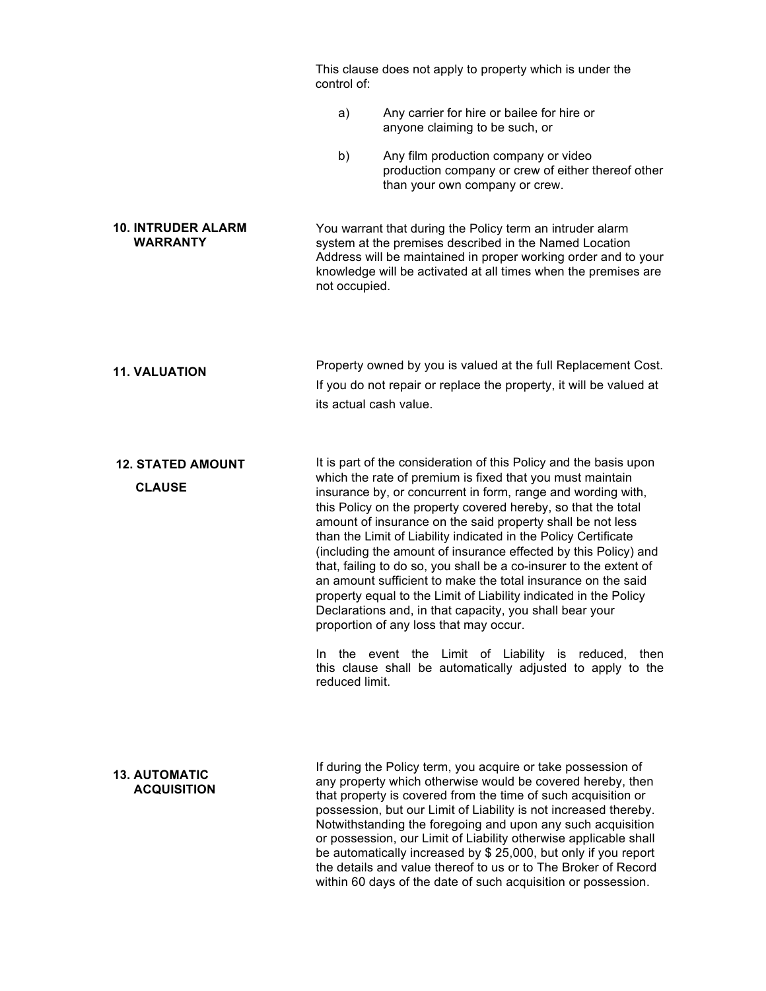|                                              | control of:            | This clause does not apply to property which is under the                                                                                                                                                                                                                                                                                                                                                                                                                                                                                                                                                                                                                                                                                                                                                                                                                                                 |
|----------------------------------------------|------------------------|-----------------------------------------------------------------------------------------------------------------------------------------------------------------------------------------------------------------------------------------------------------------------------------------------------------------------------------------------------------------------------------------------------------------------------------------------------------------------------------------------------------------------------------------------------------------------------------------------------------------------------------------------------------------------------------------------------------------------------------------------------------------------------------------------------------------------------------------------------------------------------------------------------------|
|                                              | a)                     | Any carrier for hire or bailee for hire or<br>anyone claiming to be such, or                                                                                                                                                                                                                                                                                                                                                                                                                                                                                                                                                                                                                                                                                                                                                                                                                              |
|                                              | b)                     | Any film production company or video<br>production company or crew of either thereof other<br>than your own company or crew.                                                                                                                                                                                                                                                                                                                                                                                                                                                                                                                                                                                                                                                                                                                                                                              |
| <b>10. INTRUDER ALARM</b><br><b>WARRANTY</b> | not occupied.          | You warrant that during the Policy term an intruder alarm<br>system at the premises described in the Named Location<br>Address will be maintained in proper working order and to your<br>knowledge will be activated at all times when the premises are                                                                                                                                                                                                                                                                                                                                                                                                                                                                                                                                                                                                                                                   |
| <b>11. VALUATION</b>                         | its actual cash value. | Property owned by you is valued at the full Replacement Cost.<br>If you do not repair or replace the property, it will be valued at                                                                                                                                                                                                                                                                                                                                                                                                                                                                                                                                                                                                                                                                                                                                                                       |
| <b>12. STATED AMOUNT</b><br><b>CLAUSE</b>    | In.<br>reduced limit.  | It is part of the consideration of this Policy and the basis upon<br>which the rate of premium is fixed that you must maintain<br>insurance by, or concurrent in form, range and wording with,<br>this Policy on the property covered hereby, so that the total<br>amount of insurance on the said property shall be not less<br>than the Limit of Liability indicated in the Policy Certificate<br>(including the amount of insurance effected by this Policy) and<br>that, failing to do so, you shall be a co-insurer to the extent of<br>an amount sufficient to make the total insurance on the said<br>property equal to the Limit of Liability indicated in the Policy<br>Declarations and, in that capacity, you shall bear your<br>proportion of any loss that may occur.<br>the event the Limit of Liability is reduced,<br>then<br>this clause shall be automatically adjusted to apply to the |
| <b>13. AUTOMATIC</b><br><b>ACQUISITION</b>   |                        | If during the Policy term, you acquire or take possession of<br>any property which otherwise would be covered hereby, then<br>that property is covered from the time of such acquisition or<br>possession, but our Limit of Liability is not increased thereby.<br>Notwithstanding the foregoing and upon any such acquisition<br>or possession, our Limit of Liability otherwise applicable shall<br>be automatically increased by \$ 25,000, but only if you report<br>the details and value thereof to us or to The Broker of Record<br>within 60 days of the date of such acquisition or possession.                                                                                                                                                                                                                                                                                                  |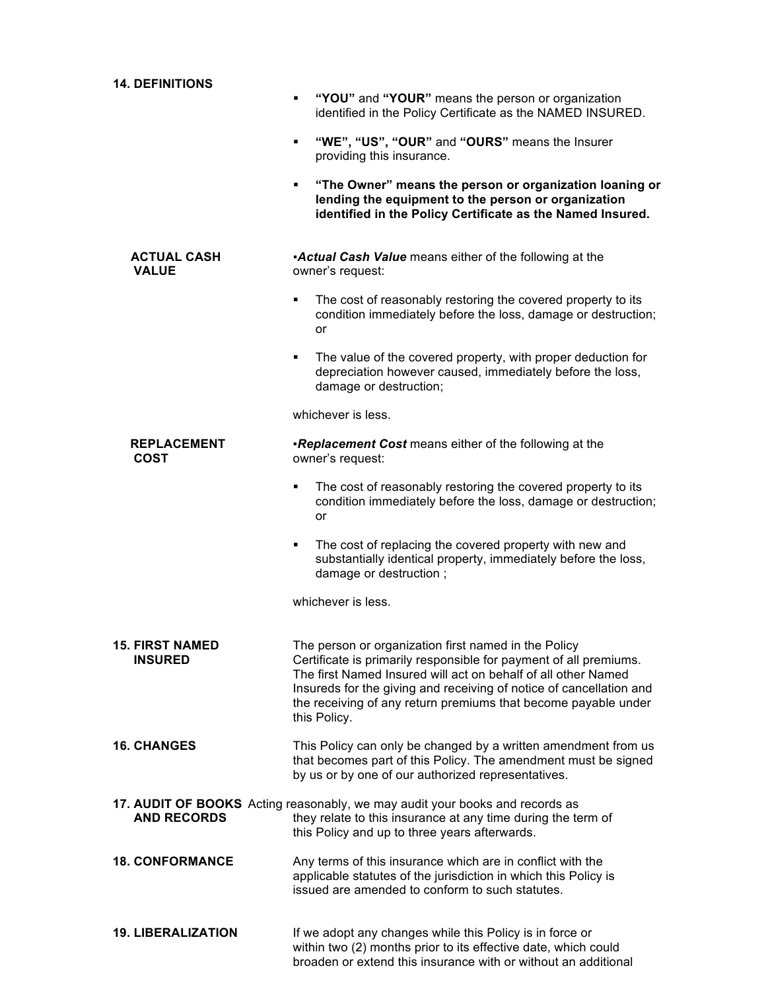| <b>14. DEFINITIONS</b>                   |                                                                                                                                                                                                                                                                                                                                                     |
|------------------------------------------|-----------------------------------------------------------------------------------------------------------------------------------------------------------------------------------------------------------------------------------------------------------------------------------------------------------------------------------------------------|
|                                          | "YOU" and "YOUR" means the person or organization<br>Ξ<br>identified in the Policy Certificate as the NAMED INSURED.                                                                                                                                                                                                                                |
|                                          | "WE", "US", "OUR" and "OURS" means the Insurer<br>٠<br>providing this insurance.                                                                                                                                                                                                                                                                    |
|                                          | "The Owner" means the person or organization loaning or<br>٠<br>lending the equipment to the person or organization<br>identified in the Policy Certificate as the Named Insured.                                                                                                                                                                   |
| <b>ACTUAL CASH</b><br><b>VALUE</b>       | <b>Actual Cash Value</b> means either of the following at the<br>owner's request:                                                                                                                                                                                                                                                                   |
|                                          | The cost of reasonably restoring the covered property to its<br>٠<br>condition immediately before the loss, damage or destruction;<br>or                                                                                                                                                                                                            |
|                                          | The value of the covered property, with proper deduction for<br>٠<br>depreciation however caused, immediately before the loss,<br>damage or destruction;                                                                                                                                                                                            |
|                                          | whichever is less.                                                                                                                                                                                                                                                                                                                                  |
| <b>REPLACEMENT</b><br><b>COST</b>        | <b>Replacement Cost</b> means either of the following at the<br>owner's request:                                                                                                                                                                                                                                                                    |
|                                          | The cost of reasonably restoring the covered property to its<br>٠<br>condition immediately before the loss, damage or destruction;<br>or                                                                                                                                                                                                            |
|                                          | The cost of replacing the covered property with new and<br>٠<br>substantially identical property, immediately before the loss,<br>damage or destruction;                                                                                                                                                                                            |
|                                          | whichever is less.                                                                                                                                                                                                                                                                                                                                  |
| <b>15. FIRST NAMED</b><br><b>INSURED</b> | The person or organization first named in the Policy<br>Certificate is primarily responsible for payment of all premiums.<br>The first Named Insured will act on behalf of all other Named<br>Insureds for the giving and receiving of notice of cancellation and<br>the receiving of any return premiums that become payable under<br>this Policy. |
| <b>16. CHANGES</b>                       | This Policy can only be changed by a written amendment from us<br>that becomes part of this Policy. The amendment must be signed<br>by us or by one of our authorized representatives.                                                                                                                                                              |
| <b>AND RECORDS</b>                       | 17. AUDIT OF BOOKS Acting reasonably, we may audit your books and records as<br>they relate to this insurance at any time during the term of<br>this Policy and up to three years afterwards.                                                                                                                                                       |
| <b>18. CONFORMANCE</b>                   | Any terms of this insurance which are in conflict with the<br>applicable statutes of the jurisdiction in which this Policy is<br>issued are amended to conform to such statutes.                                                                                                                                                                    |
| <b>19. LIBERALIZATION</b>                | If we adopt any changes while this Policy is in force or<br>within two (2) months prior to its effective date, which could<br>broaden or extend this insurance with or without an additional                                                                                                                                                        |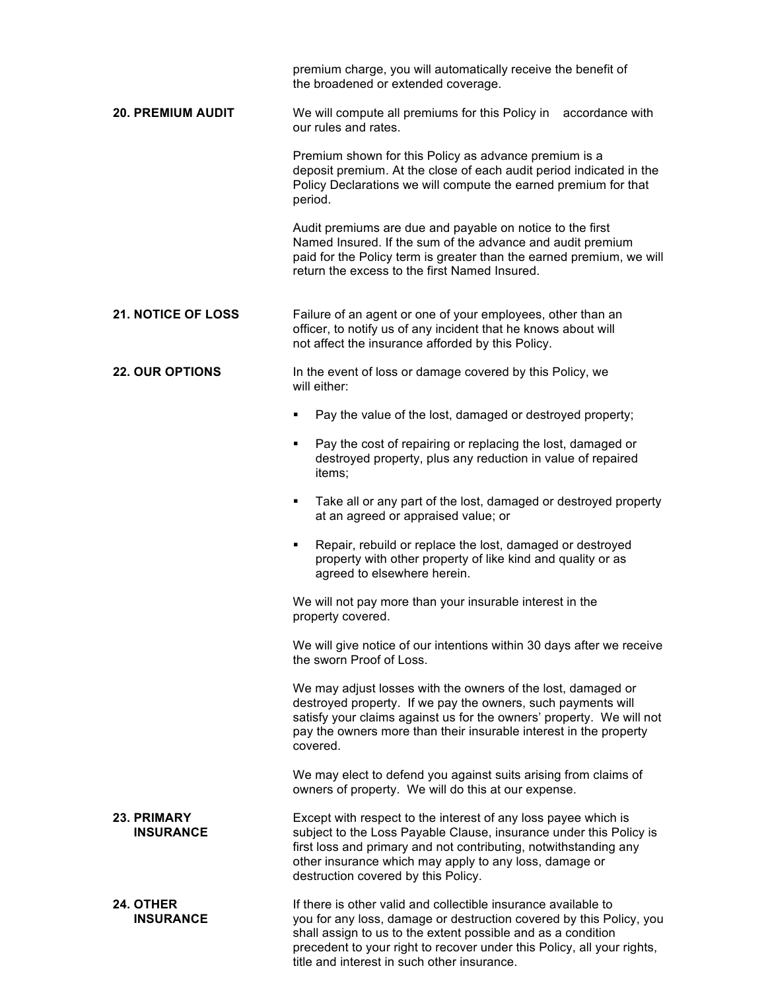|                                      | premium charge, you will automatically receive the benefit of<br>the broadened or extended coverage.                                                                                                                                                                                                                           |
|--------------------------------------|--------------------------------------------------------------------------------------------------------------------------------------------------------------------------------------------------------------------------------------------------------------------------------------------------------------------------------|
| <b>20. PREMIUM AUDIT</b>             | We will compute all premiums for this Policy in accordance with<br>our rules and rates.                                                                                                                                                                                                                                        |
|                                      | Premium shown for this Policy as advance premium is a<br>deposit premium. At the close of each audit period indicated in the<br>Policy Declarations we will compute the earned premium for that<br>period.                                                                                                                     |
|                                      | Audit premiums are due and payable on notice to the first<br>Named Insured. If the sum of the advance and audit premium<br>paid for the Policy term is greater than the earned premium, we will<br>return the excess to the first Named Insured.                                                                               |
| <b>21. NOTICE OF LOSS</b>            | Failure of an agent or one of your employees, other than an<br>officer, to notify us of any incident that he knows about will<br>not affect the insurance afforded by this Policy.                                                                                                                                             |
| <b>22. OUR OPTIONS</b>               | In the event of loss or damage covered by this Policy, we<br>will either:                                                                                                                                                                                                                                                      |
|                                      | Pay the value of the lost, damaged or destroyed property;<br>٠                                                                                                                                                                                                                                                                 |
|                                      | Pay the cost of repairing or replacing the lost, damaged or<br>٠<br>destroyed property, plus any reduction in value of repaired<br>items;                                                                                                                                                                                      |
|                                      | Take all or any part of the lost, damaged or destroyed property<br>٠<br>at an agreed or appraised value; or                                                                                                                                                                                                                    |
|                                      | Repair, rebuild or replace the lost, damaged or destroyed<br>٠<br>property with other property of like kind and quality or as<br>agreed to elsewhere herein.                                                                                                                                                                   |
|                                      | We will not pay more than your insurable interest in the<br>property covered.                                                                                                                                                                                                                                                  |
|                                      | We will give notice of our intentions within 30 days after we receive<br>the sworn Proof of Loss.                                                                                                                                                                                                                              |
|                                      | We may adjust losses with the owners of the lost, damaged or<br>destroyed property. If we pay the owners, such payments will<br>satisfy your claims against us for the owners' property. We will not<br>pay the owners more than their insurable interest in the property<br>covered.                                          |
|                                      | We may elect to defend you against suits arising from claims of<br>owners of property. We will do this at our expense.                                                                                                                                                                                                         |
| 23. PRIMARY<br><b>INSURANCE</b>      | Except with respect to the interest of any loss payee which is<br>subject to the Loss Payable Clause, insurance under this Policy is<br>first loss and primary and not contributing, notwithstanding any<br>other insurance which may apply to any loss, damage or<br>destruction covered by this Policy.                      |
| <b>24. OTHER</b><br><b>INSURANCE</b> | If there is other valid and collectible insurance available to<br>you for any loss, damage or destruction covered by this Policy, you<br>shall assign to us to the extent possible and as a condition<br>precedent to your right to recover under this Policy, all your rights,<br>title and interest in such other insurance. |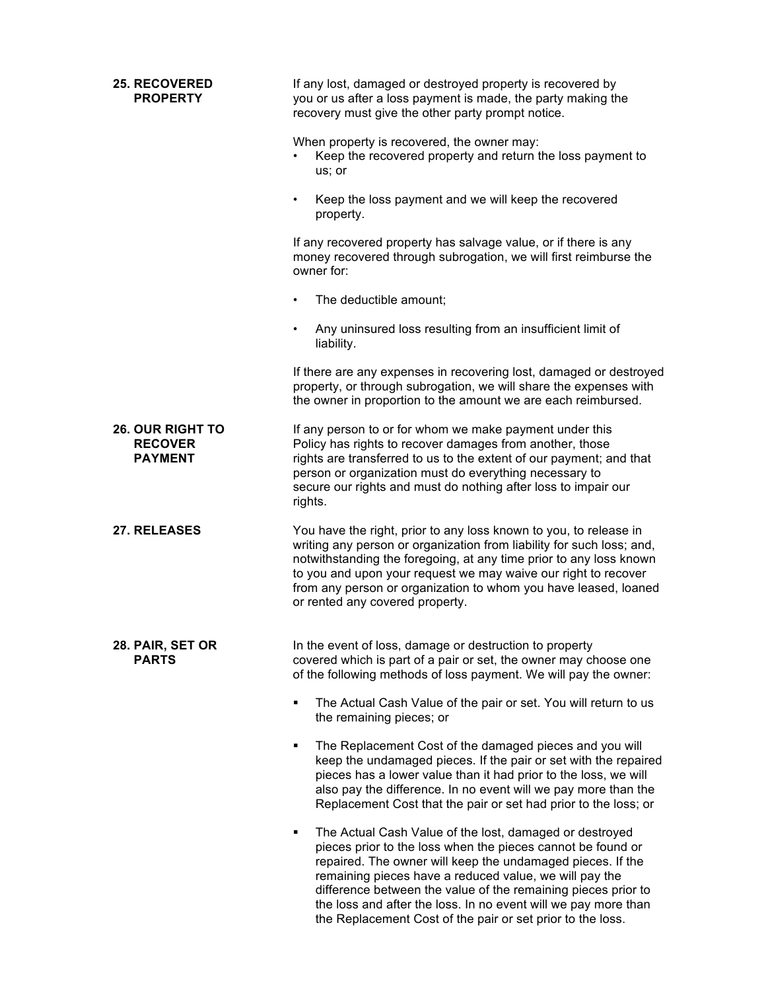| <b>25. RECOVERED</b><br><b>PROPERTY</b>                     | If any lost, damaged or destroyed property is recovered by<br>you or us after a loss payment is made, the party making the<br>recovery must give the other party prompt notice.                                                                                                                                                                                                                                                                      |
|-------------------------------------------------------------|------------------------------------------------------------------------------------------------------------------------------------------------------------------------------------------------------------------------------------------------------------------------------------------------------------------------------------------------------------------------------------------------------------------------------------------------------|
|                                                             | When property is recovered, the owner may:<br>Keep the recovered property and return the loss payment to<br>us; or                                                                                                                                                                                                                                                                                                                                   |
|                                                             | Keep the loss payment and we will keep the recovered<br>٠<br>property.                                                                                                                                                                                                                                                                                                                                                                               |
|                                                             | If any recovered property has salvage value, or if there is any<br>money recovered through subrogation, we will first reimburse the<br>owner for:                                                                                                                                                                                                                                                                                                    |
|                                                             | The deductible amount;                                                                                                                                                                                                                                                                                                                                                                                                                               |
|                                                             | Any uninsured loss resulting from an insufficient limit of<br>٠<br>liability.                                                                                                                                                                                                                                                                                                                                                                        |
|                                                             | If there are any expenses in recovering lost, damaged or destroyed<br>property, or through subrogation, we will share the expenses with<br>the owner in proportion to the amount we are each reimbursed.                                                                                                                                                                                                                                             |
| <b>26. OUR RIGHT TO</b><br><b>RECOVER</b><br><b>PAYMENT</b> | If any person to or for whom we make payment under this<br>Policy has rights to recover damages from another, those<br>rights are transferred to us to the extent of our payment; and that<br>person or organization must do everything necessary to<br>secure our rights and must do nothing after loss to impair our<br>rights.                                                                                                                    |
| 27. RELEASES                                                | You have the right, prior to any loss known to you, to release in<br>writing any person or organization from liability for such loss; and,<br>notwithstanding the foregoing, at any time prior to any loss known<br>to you and upon your request we may waive our right to recover<br>from any person or organization to whom you have leased, loaned<br>or rented any covered property.                                                             |
| 28. PAIR, SET OR<br><b>PARTS</b>                            | In the event of loss, damage or destruction to property<br>covered which is part of a pair or set, the owner may choose one<br>of the following methods of loss payment. We will pay the owner:                                                                                                                                                                                                                                                      |
|                                                             | The Actual Cash Value of the pair or set. You will return to us<br>٠<br>the remaining pieces; or                                                                                                                                                                                                                                                                                                                                                     |
|                                                             | The Replacement Cost of the damaged pieces and you will<br>٠<br>keep the undamaged pieces. If the pair or set with the repaired<br>pieces has a lower value than it had prior to the loss, we will<br>also pay the difference. In no event will we pay more than the<br>Replacement Cost that the pair or set had prior to the loss; or                                                                                                              |
|                                                             | The Actual Cash Value of the lost, damaged or destroyed<br>٠<br>pieces prior to the loss when the pieces cannot be found or<br>repaired. The owner will keep the undamaged pieces. If the<br>remaining pieces have a reduced value, we will pay the<br>difference between the value of the remaining pieces prior to<br>the loss and after the loss. In no event will we pay more than<br>the Replacement Cost of the pair or set prior to the loss. |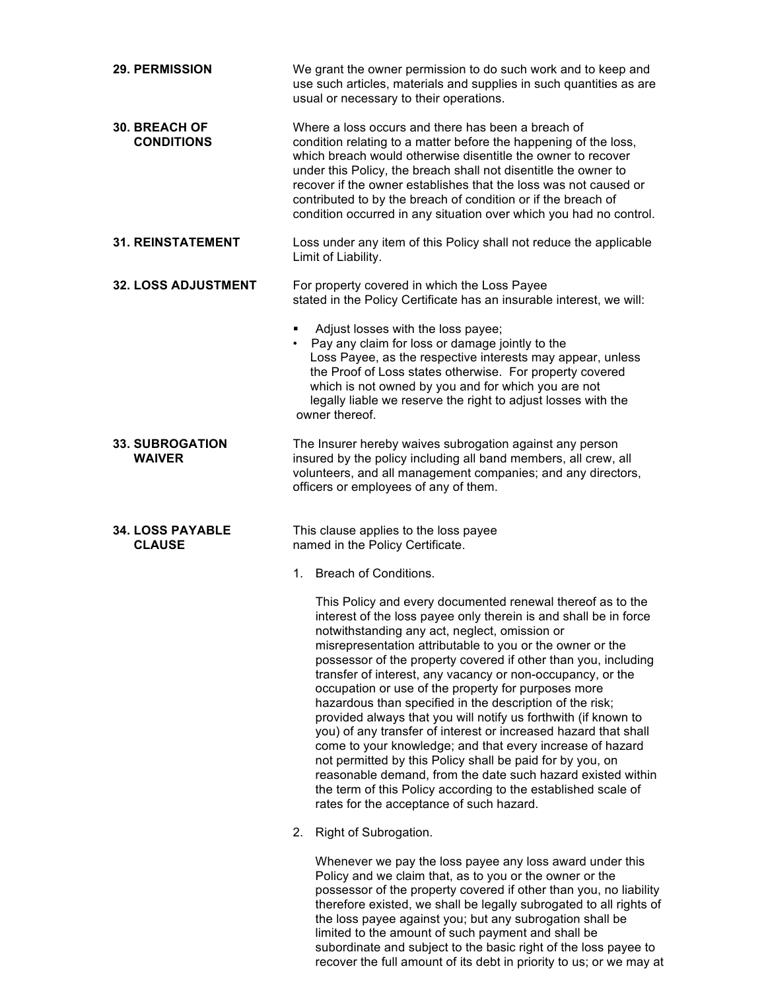| <b>29. PERMISSION</b>                     | We grant the owner permission to do such work and to keep and<br>use such articles, materials and supplies in such quantities as are<br>usual or necessary to their operations.                                                                                                                                                                                                                                                                                                                                                                                                                                                                                                                                                                                                                                                                                                                                                            |
|-------------------------------------------|--------------------------------------------------------------------------------------------------------------------------------------------------------------------------------------------------------------------------------------------------------------------------------------------------------------------------------------------------------------------------------------------------------------------------------------------------------------------------------------------------------------------------------------------------------------------------------------------------------------------------------------------------------------------------------------------------------------------------------------------------------------------------------------------------------------------------------------------------------------------------------------------------------------------------------------------|
| <b>30. BREACH OF</b><br><b>CONDITIONS</b> | Where a loss occurs and there has been a breach of<br>condition relating to a matter before the happening of the loss,<br>which breach would otherwise disentitle the owner to recover<br>under this Policy, the breach shall not disentitle the owner to<br>recover if the owner establishes that the loss was not caused or<br>contributed to by the breach of condition or if the breach of<br>condition occurred in any situation over which you had no control.                                                                                                                                                                                                                                                                                                                                                                                                                                                                       |
| <b>31. REINSTATEMENT</b>                  | Loss under any item of this Policy shall not reduce the applicable<br>Limit of Liability.                                                                                                                                                                                                                                                                                                                                                                                                                                                                                                                                                                                                                                                                                                                                                                                                                                                  |
| <b>32. LOSS ADJUSTMENT</b>                | For property covered in which the Loss Payee<br>stated in the Policy Certificate has an insurable interest, we will:                                                                                                                                                                                                                                                                                                                                                                                                                                                                                                                                                                                                                                                                                                                                                                                                                       |
|                                           | Adjust losses with the loss payee;<br>• Pay any claim for loss or damage jointly to the<br>Loss Payee, as the respective interests may appear, unless<br>the Proof of Loss states otherwise. For property covered<br>which is not owned by you and for which you are not<br>legally liable we reserve the right to adjust losses with the<br>owner thereof.                                                                                                                                                                                                                                                                                                                                                                                                                                                                                                                                                                                |
| <b>33. SUBROGATION</b><br><b>WAIVER</b>   | The Insurer hereby waives subrogation against any person<br>insured by the policy including all band members, all crew, all<br>volunteers, and all management companies; and any directors,<br>officers or employees of any of them.                                                                                                                                                                                                                                                                                                                                                                                                                                                                                                                                                                                                                                                                                                       |
| <b>34. LOSS PAYABLE</b><br><b>CLAUSE</b>  | This clause applies to the loss payee<br>named in the Policy Certificate.                                                                                                                                                                                                                                                                                                                                                                                                                                                                                                                                                                                                                                                                                                                                                                                                                                                                  |
|                                           | <b>Breach of Conditions.</b><br>1.                                                                                                                                                                                                                                                                                                                                                                                                                                                                                                                                                                                                                                                                                                                                                                                                                                                                                                         |
|                                           | This Policy and every documented renewal thereof as to the<br>interest of the loss payee only therein is and shall be in force<br>notwithstanding any act, neglect, omission or<br>misrepresentation attributable to you or the owner or the<br>possessor of the property covered if other than you, including<br>transfer of interest, any vacancy or non-occupancy, or the<br>occupation or use of the property for purposes more<br>hazardous than specified in the description of the risk;<br>provided always that you will notify us forthwith (if known to<br>you) of any transfer of interest or increased hazard that shall<br>come to your knowledge; and that every increase of hazard<br>not permitted by this Policy shall be paid for by you, on<br>reasonable demand, from the date such hazard existed within<br>the term of this Policy according to the established scale of<br>rates for the acceptance of such hazard. |
|                                           | Right of Subrogation.<br>2.                                                                                                                                                                                                                                                                                                                                                                                                                                                                                                                                                                                                                                                                                                                                                                                                                                                                                                                |
|                                           | Whenever we pay the loss payee any loss award under this<br>Policy and we claim that, as to you or the owner or the<br>possessor of the property covered if other than you, no liability<br>therefore existed, we shall be legally subrogated to all rights of                                                                                                                                                                                                                                                                                                                                                                                                                                                                                                                                                                                                                                                                             |

the loss payee against you; but any subrogation shall be limited to the amount of such payment and shall be subordinate and subject to the basic right of the loss payee to recover the full amount of its debt in priority to us; or we may at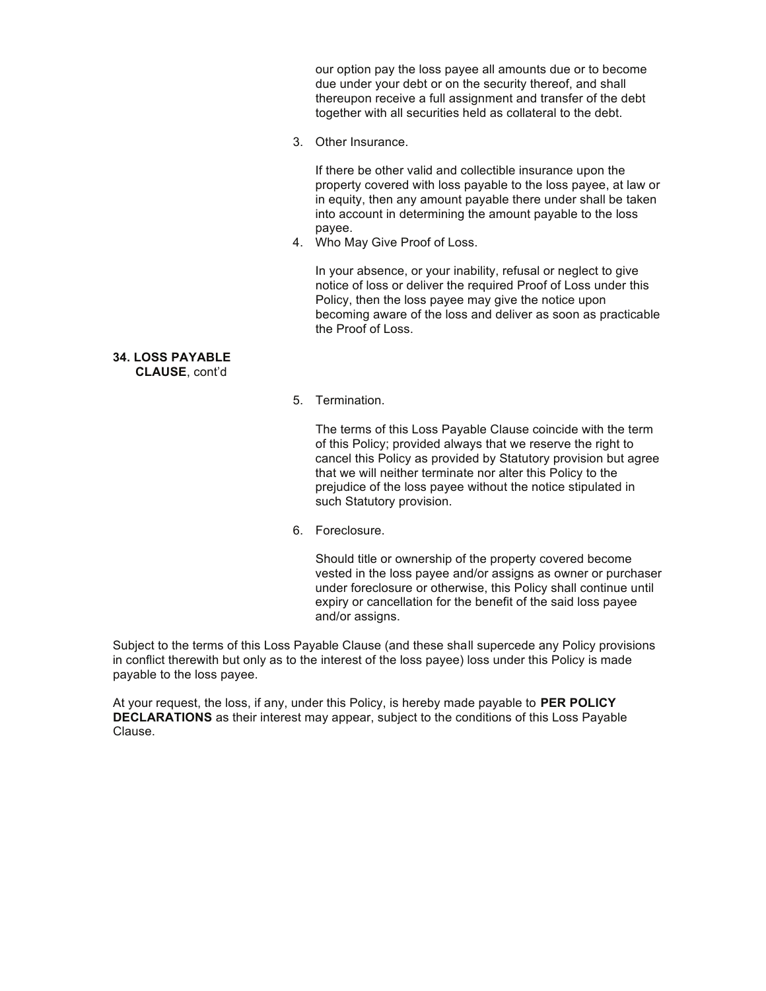our option pay the loss payee all amounts due or to become due under your debt or on the security thereof, and shall thereupon receive a full assignment and transfer of the debt together with all securities held as collateral to the debt.

3. Other Insurance.

If there be other valid and collectible insurance upon the property covered with loss payable to the loss payee, at law or in equity, then any amount payable there under shall be taken into account in determining the amount payable to the loss payee.

4. Who May Give Proof of Loss.

In your absence, or your inability, refusal or neglect to give notice of loss or deliver the required Proof of Loss under this Policy, then the loss payee may give the notice upon becoming aware of the loss and deliver as soon as practicable the Proof of Loss.

#### **34. LOSS PAYABLE CLAUSE**, cont'd

5. Termination.

The terms of this Loss Payable Clause coincide with the term of this Policy; provided always that we reserve the right to cancel this Policy as provided by Statutory provision but agree that we will neither terminate nor alter this Policy to the prejudice of the loss payee without the notice stipulated in such Statutory provision.

6. Foreclosure.

Should title or ownership of the property covered become vested in the loss payee and/or assigns as owner or purchaser under foreclosure or otherwise, this Policy shall continue until expiry or cancellation for the benefit of the said loss payee and/or assigns.

Subject to the terms of this Loss Payable Clause (and these shall supercede any Policy provisions in conflict therewith but only as to the interest of the loss payee) loss under this Policy is made payable to the loss payee.

At your request, the loss, if any, under this Policy, is hereby made payable to **PER POLICY DECLARATIONS** as their interest may appear, subject to the conditions of this Loss Payable Clause.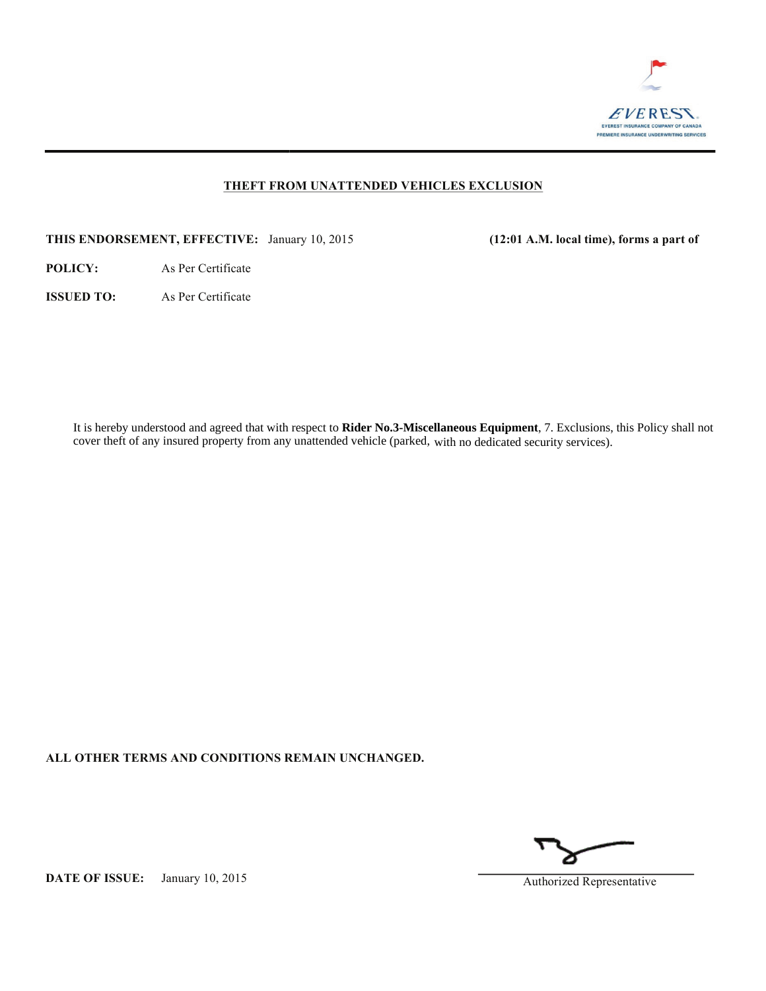

### **THEFT FROM UNATTENDED VEHICLES EXCLUSION**

**THIS ENDORSEMENT, EFFECTIVE:** January 10, 2015 **(12:01 A.M. local time), forms a part of**

**POLICY:** As Per Certificate

**ISSUED TO:** As Per Certificate

It is hereby understood and agreed that with respect to **Rider No.3-Miscellaneous Equipment**, 7. Exclusions, this Policy shall not cover theft of any insured property from any unattended vehicle (parked, with no dedicated security services).

**ALL OTHER TERMS AND CONDITIONS REMAIN UNCHANGED.**

**DATE OF ISSUE:** January 10, 2015 Authorized Representative